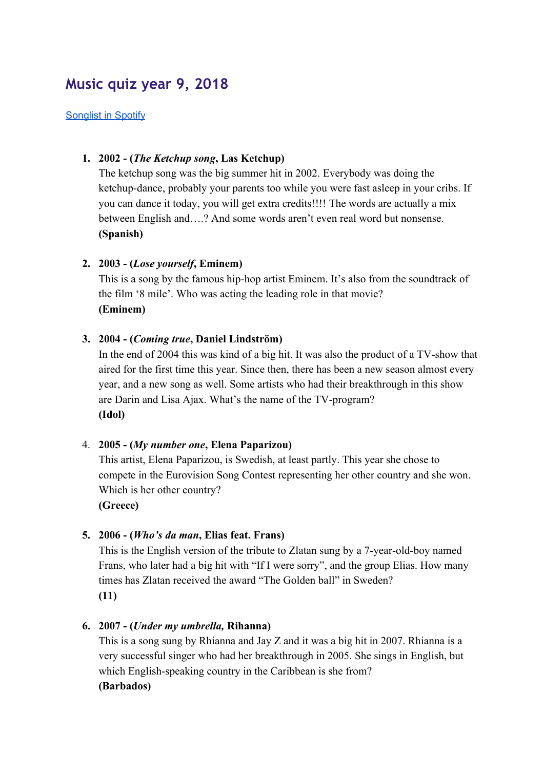# **Music quiz year 9, 2018**

#### [Songlist](https://open.spotify.com/user/alternativlotta/playlist/6ijYpBBklwqpKtlm9cPWg9?si=_sspCBsDSM2Gg0cA1whS-Q) in Spotify

## **1. 2002 - (***The Ketchup song***, Las Ketchup)**

The ketchup song was the big summer hit in 2002. Everybody was doing the ketchup-dance, probably your parents too while you were fast asleep in your cribs. If you can dance it today, you will get extra credits!!!! The words are actually a mix between English and….? And some words aren't even real word but nonsense. **(Spanish)**

## **2. 2003 - (***Lose yourself***, Eminem)**

This is a song by the famous hip-hop artist Eminem. It's also from the soundtrack of the film '8 mile'. Who was acting the leading role in that movie? **(Eminem)**

## **3. 2004 - (***Coming true***, Daniel Lindström)**

In the end of 2004 this was kind of a big hit. It was also the product of a TV-show that aired for the first time this year. Since then, there has been a new season almost every year, and a new song as well. Some artists who had their breakthrough in this show are Darin and Lisa Ajax. What's the name of the TV-program? **(Idol)**

## 4. **2005 - (***My number one***, Elena Paparizou)**

This artist, Elena Paparizou, is Swedish, at least partly. This year she chose to compete in the Eurovision Song Contest representing her other country and she won. Which is her other country?

**(Greece)**

# **5. 2006 - (***Who's da man***, Elias feat. Frans)**

This is the English version of the tribute to Zlatan sung by a 7-year-old-boy named Frans, who later had a big hit with "If I were sorry", and the group Elias. How many times has Zlatan received the award "The Golden ball" in Sweden? **(11)**

## **6. 2007 - (***Under my umbrella,* **Rihanna)**

This is a song sung by Rhianna and Jay Z and it was a big hit in 2007. Rhianna is a very successful singer who had her breakthrough in 2005. She sings in English, but which English-speaking country in the Caribbean is she from? **(Barbados)**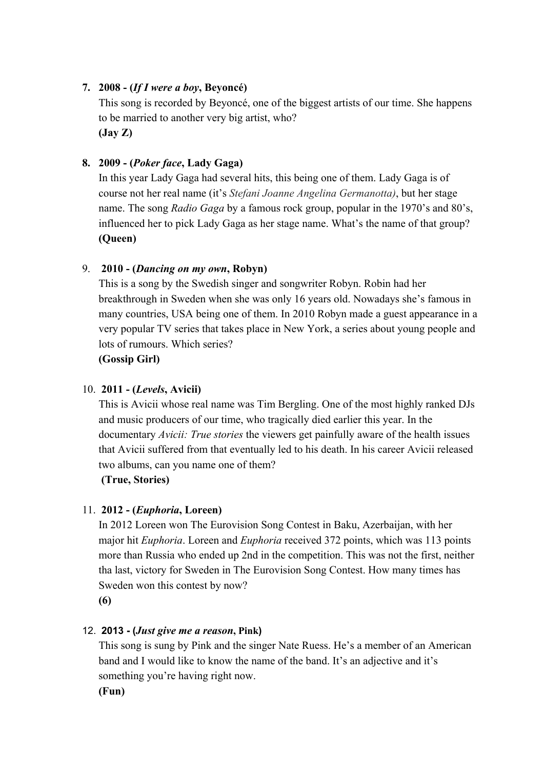# **7. 2008 - (***If I were a boy***, Beyoncé)**

This song is recorded by Beyoncé, one of the biggest artists of our time. She happens to be married to another very big artist, who? **(Jay Z)**

# **8. 2009 - (***Poker face***, Lady Gaga)**

In this year Lady Gaga had several hits, this being one of them. Lady Gaga is of course not her real name (it's *Stefani Joanne Angelina Germanotta)*, but her stage name. The song *Radio Gaga* by a famous rock group, popular in the 1970's and 80's, influenced her to pick Lady Gaga as her stage name. What's the name of that group? **(Queen)**

# 9. **2010 - (***Dancing on my own***, Robyn)**

This is a song by the Swedish singer and songwriter Robyn. Robin had her breakthrough in Sweden when she was only 16 years old. Nowadays she's famous in many countries, USA being one of them. In 2010 Robyn made a guest appearance in a very popular TV series that takes place in New York, a series about young people and lots of rumours. Which series?

**(Gossip Girl)**

## 10. **2011 - (***Levels***, Avicii)**

This is Avicii whose real name was Tim Bergling. One of the most highly ranked DJs and music producers of our time, who tragically died earlier this year. In the documentary *Avicii: True stories* the viewers get painfully aware of the health issues that Avicii suffered from that eventually led to his death. In his career Avicii released two albums, can you name one of them?

**(True, Stories)**

# 11. **2012 - (***Euphoria***, Loreen)**

In 2012 Loreen won The Eurovision Song Contest in Baku, Azerbaijan, with her major hit *Euphoria*. Loreen and *Euphoria* received 372 points, which was 113 points more than Russia who ended up 2nd in the competition. This was not the first, neither tha last, victory for Sweden in The Eurovision Song Contest. How many times has Sweden won this contest by now?

**(6)**

# 12. **2013 - (***Just give me a reason***, Pink)**

This song is sung by Pink and the singer Nate Ruess. He's a member of an American band and I would like to know the name of the band. It's an adjective and it's something you're having right now.

**(Fun)**